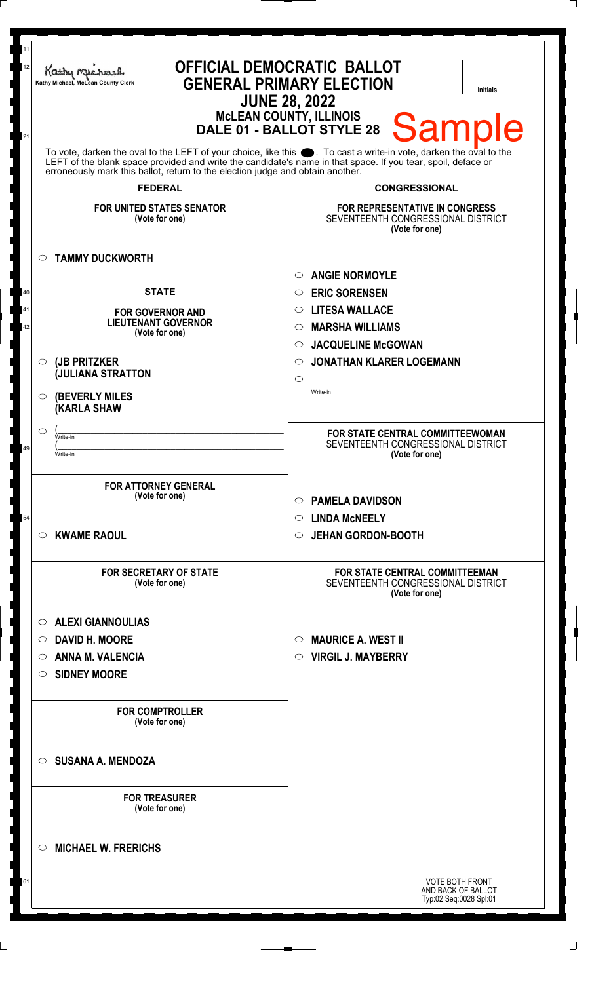| 11<br>12<br>21 | <b>OFFICIAL DEMOCRATIC BALLOT</b><br>Kathy Michael<br><b>GENERAL PRIMARY ELECTION</b><br>Kathy Michael, McLean County Clerk<br><b>Initials</b><br><b>JUNE 28, 2022</b><br><b>McLEAN COUNTY, ILLINOIS</b><br><b>Sample</b><br>DALE 01 - BALLOT STYLE 28<br>To vote, darken the oval to the LEFT of your choice, like this $\bullet$ . To cast a write-in vote, darken the oval to the LEFT of the blank space provided and write the candidate's name in that space. If you tear, spoil, deface |                                                                                                              |
|----------------|------------------------------------------------------------------------------------------------------------------------------------------------------------------------------------------------------------------------------------------------------------------------------------------------------------------------------------------------------------------------------------------------------------------------------------------------------------------------------------------------|--------------------------------------------------------------------------------------------------------------|
|                | erroneously mark this ballot, return to the election judge and obtain another.                                                                                                                                                                                                                                                                                                                                                                                                                 |                                                                                                              |
|                | <b>FEDERAL</b><br><b>FOR UNITED STATES SENATOR</b>                                                                                                                                                                                                                                                                                                                                                                                                                                             | <b>CONGRESSIONAL</b><br>FOR REPRESENTATIVE IN CONGRESS                                                       |
|                | (Vote for one)<br><b>TAMMY DUCKWORTH</b><br>$\circ$                                                                                                                                                                                                                                                                                                                                                                                                                                            | SEVENTEENTH CONGRESSIONAL DISTRICT<br>(Vote for one)<br><b>ANGIE NORMOYLE</b><br>O                           |
| 40             | <b>STATE</b>                                                                                                                                                                                                                                                                                                                                                                                                                                                                                   | <b>ERIC SORENSEN</b><br>$\circ$                                                                              |
| 41             | <b>FOR GOVERNOR AND</b><br><b>LIEUTENANT GOVERNOR</b>                                                                                                                                                                                                                                                                                                                                                                                                                                          | <b>LITESA WALLACE</b><br>$\circ$                                                                             |
| 42             | (Vote for one)                                                                                                                                                                                                                                                                                                                                                                                                                                                                                 | <b>MARSHA WILLIAMS</b><br>$\circ$                                                                            |
|                | (JB PRITZKER<br>$\circ$                                                                                                                                                                                                                                                                                                                                                                                                                                                                        | <b>JACQUELINE McGOWAN</b><br>$\circ$<br><b>JONATHAN KLARER LOGEMANN</b><br>O                                 |
|                | <b>JULIANA STRATTON</b>                                                                                                                                                                                                                                                                                                                                                                                                                                                                        | $\circ$                                                                                                      |
|                | <b>(BEVERLY MILES)</b><br>O<br><b>KARLA SHAW</b>                                                                                                                                                                                                                                                                                                                                                                                                                                               | Write-in                                                                                                     |
|                | $\circ$<br>Write-in                                                                                                                                                                                                                                                                                                                                                                                                                                                                            | FOR STATE CENTRAL COMMITTEEWOMAN                                                                             |
| 49             | Write-in                                                                                                                                                                                                                                                                                                                                                                                                                                                                                       | SEVENTEENTH CONGRESSIONAL DISTRICT<br>(Vote for one)                                                         |
| 54             | <b>FOR ATTORNEY GENERAL</b><br>(Vote for one)<br><b>KWAME RAOUL</b><br>O                                                                                                                                                                                                                                                                                                                                                                                                                       | <b>PAMELA DAVIDSON</b><br>$\circ$<br><b>LINDA MCNEELY</b><br>$\circ$<br><b>JEHAN GORDON-BOOTH</b><br>$\circ$ |
|                | FOR SECRETARY OF STATE<br>(Vote for one)                                                                                                                                                                                                                                                                                                                                                                                                                                                       | FOR STATE CENTRAL COMMITTEEMAN<br>SEVENTEENTH CONGRESSIONAL DISTRICT<br>(Vote for one)                       |
|                | <b>ALEXI GIANNOULIAS</b><br>$\circ$                                                                                                                                                                                                                                                                                                                                                                                                                                                            |                                                                                                              |
|                | <b>DAVID H. MOORE</b><br>O                                                                                                                                                                                                                                                                                                                                                                                                                                                                     | <b>MAURICE A. WEST II</b><br>$\circ$                                                                         |
|                | <b>ANNA M. VALENCIA</b><br>O                                                                                                                                                                                                                                                                                                                                                                                                                                                                   | <b>VIRGIL J. MAYBERRY</b><br>O                                                                               |
|                | <b>SIDNEY MOORE</b><br>O                                                                                                                                                                                                                                                                                                                                                                                                                                                                       |                                                                                                              |
|                | <b>FOR COMPTROLLER</b><br>(Vote for one)                                                                                                                                                                                                                                                                                                                                                                                                                                                       |                                                                                                              |
|                | <b>SUSANA A. MENDOZA</b><br>◯                                                                                                                                                                                                                                                                                                                                                                                                                                                                  |                                                                                                              |
|                | <b>FOR TREASURER</b><br>(Vote for one)                                                                                                                                                                                                                                                                                                                                                                                                                                                         |                                                                                                              |
|                | <b>MICHAEL W. FRERICHS</b><br>◯                                                                                                                                                                                                                                                                                                                                                                                                                                                                |                                                                                                              |
| 61             |                                                                                                                                                                                                                                                                                                                                                                                                                                                                                                | <b>VOTE BOTH FRONT</b>                                                                                       |
|                |                                                                                                                                                                                                                                                                                                                                                                                                                                                                                                | AND BACK OF BALLOT<br>Typ:02 Seq:0028 Spl:01                                                                 |
|                |                                                                                                                                                                                                                                                                                                                                                                                                                                                                                                |                                                                                                              |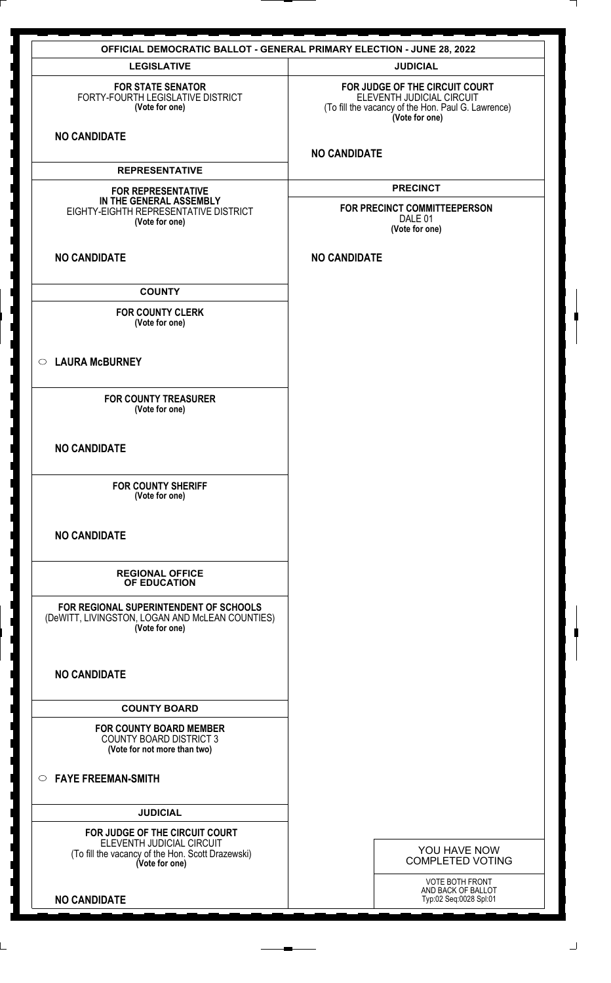| <b>OFFICIAL DEMOCRATIC BALLOT - GENERAL PRIMARY ELECTION - JUNE 28, 2022</b>                                                       |                                                                                                                                     |
|------------------------------------------------------------------------------------------------------------------------------------|-------------------------------------------------------------------------------------------------------------------------------------|
| <b>LEGISLATIVE</b>                                                                                                                 | <b>JUDICIAL</b>                                                                                                                     |
| <b>FOR STATE SENATOR</b><br>FORTY-FOURTH LEGISLATIVE DISTRICT<br>(Vote for one)                                                    | FOR JUDGE OF THE CIRCUIT COURT<br>ELEVENTH JUDICIAL CIRCUIT<br>(To fill the vacancy of the Hon. Paul G. Lawrence)<br>(Vote for one) |
| <b>NO CANDIDATE</b>                                                                                                                | <b>NO CANDIDATE</b>                                                                                                                 |
| <b>REPRESENTATIVE</b>                                                                                                              |                                                                                                                                     |
| <b>FOR REPRESENTATIVE</b><br>IN THE GENERAL ASSEMBLY<br>EIGHTY-EIGHTH REPRESENTATIVE DISTRICT<br>(Vote for one)                    | <b>PRECINCT</b><br>FOR PRECINCT COMMITTEEPERSON<br>DALE 01<br>(Vote for one)                                                        |
| <b>NO CANDIDATE</b>                                                                                                                | <b>NO CANDIDATE</b>                                                                                                                 |
| <b>COUNTY</b>                                                                                                                      |                                                                                                                                     |
| <b>FOR COUNTY CLERK</b><br>(Vote for one)                                                                                          |                                                                                                                                     |
| <b>LAURA McBURNEY</b><br>$\circ$                                                                                                   |                                                                                                                                     |
| <b>FOR COUNTY TREASURER</b><br>(Vote for one)                                                                                      |                                                                                                                                     |
| <b>NO CANDIDATE</b>                                                                                                                |                                                                                                                                     |
| <b>FOR COUNTY SHERIFF</b><br>(Vote for one)                                                                                        |                                                                                                                                     |
| <b>NO CANDIDATE</b>                                                                                                                |                                                                                                                                     |
| <b>REGIONAL OFFICE</b><br>OF EDUCATION                                                                                             |                                                                                                                                     |
| FOR REGIONAL SUPERINTENDENT OF SCHOOLS<br>(DeWITT, LIVINGSTON, LOGAN AND McLEAN COUNTIES)<br>(Vote for one)                        |                                                                                                                                     |
| <b>NO CANDIDATE</b>                                                                                                                |                                                                                                                                     |
| <b>COUNTY BOARD</b>                                                                                                                |                                                                                                                                     |
| <b>FOR COUNTY BOARD MEMBER</b><br><b>COUNTY BOARD DISTRICT 3</b><br>(Vote for not more than two)                                   |                                                                                                                                     |
| <b>FAYE FREEMAN-SMITH</b><br>$\circ$                                                                                               |                                                                                                                                     |
| <b>JUDICIAL</b>                                                                                                                    |                                                                                                                                     |
| FOR JUDGE OF THE CIRCUIT COURT<br>ELEVENTH JUDICIAL CIRCUIT<br>(To fill the vacancy of the Hon. Scott Drazewski)<br>(Vote for one) | YOU HAVE NOW<br><b>COMPLETED VOTING</b>                                                                                             |
| <b>NO CANDIDATE</b>                                                                                                                | VOTE BOTH FRONT<br>AND BACK OF BALLOT<br>Typ:02 Seq:0028 Spl:01                                                                     |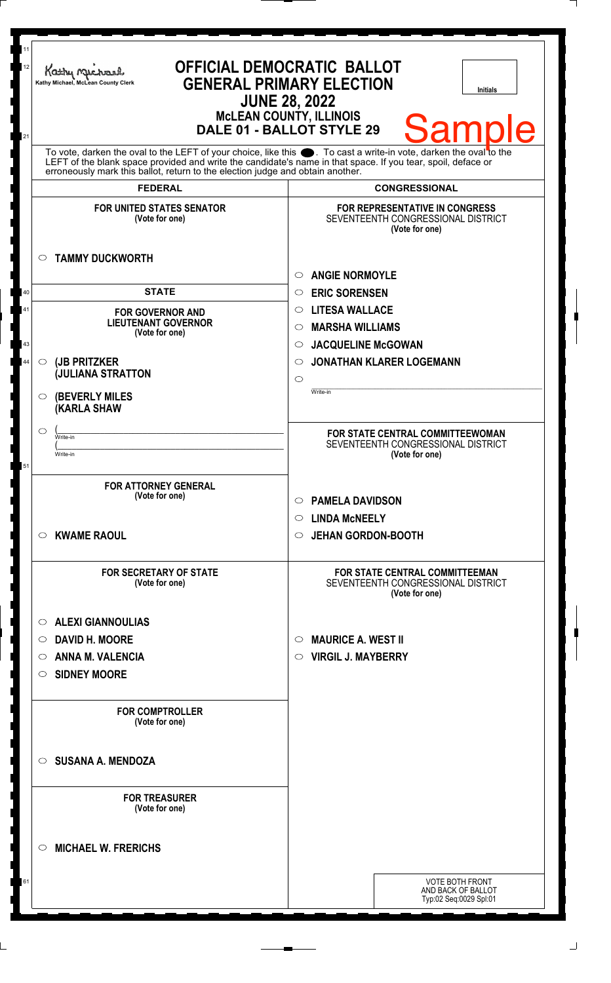| 11<br>12<br>21 | Kathy Michael<br>Kathy Michael, McLean County Clerk                                     | <b>OFFICIAL DEMOCRATIC BALLOT</b><br><b>GENERAL PRIMARY ELECTION</b><br><b>Initials</b><br><b>JUNE 28, 2022</b><br><b>MCLEAN COUNTY, ILLINOIS</b><br><b>Samp</b><br>e<br>DALE 01 - BALLOT STYLE 29                                   |
|----------------|-----------------------------------------------------------------------------------------|--------------------------------------------------------------------------------------------------------------------------------------------------------------------------------------------------------------------------------------|
|                | erroneously mark this ballot, return to the election judge and obtain another.          | To vote, darken the oval to the LEFT of your choice, like this $\bullet$ . To cast a write-in vote, darken the oval to the LEFT of the blank space provided and write the candidate's name in that space. If you tear, spoil, deface |
|                | <b>FEDERAL</b>                                                                          | <b>CONGRESSIONAL</b>                                                                                                                                                                                                                 |
|                | <b>FOR UNITED STATES SENATOR</b><br>(Vote for one)<br><b>TAMMY DUCKWORTH</b><br>$\circ$ | <b>FOR REPRESENTATIVE IN CONGRESS</b><br>SEVENTEENTH CONGRESSIONAL DISTRICT<br>(Vote for one)                                                                                                                                        |
|                |                                                                                         | <b>ANGIE NORMOYLE</b>                                                                                                                                                                                                                |
| 40             | <b>STATE</b>                                                                            | $\circ$                                                                                                                                                                                                                              |
|                |                                                                                         | <b>ERIC SORENSEN</b><br>$\circ$                                                                                                                                                                                                      |
| 41             | <b>FOR GOVERNOR AND</b><br><b>LIEUTENANT GOVERNOR</b>                                   | <b>LITESA WALLACE</b><br>$\circ$                                                                                                                                                                                                     |
|                | (Vote for one)                                                                          | <b>MARSHA WILLIAMS</b><br>$\circ$                                                                                                                                                                                                    |
| 43             |                                                                                         | <b>JACQUELINE McGOWAN</b><br>$\circlearrowright$                                                                                                                                                                                     |
| 44             | (JB PRITZKER<br>$\circ$<br><b>JULIANA STRATTON</b>                                      | <b>JONATHAN KLARER LOGEMANN</b><br>O                                                                                                                                                                                                 |
|                | <b>(BEVERLY MILES)</b><br>O<br><b>KARLA SHAW</b>                                        | $\circ$<br>Write-in                                                                                                                                                                                                                  |
|                | $\circ$                                                                                 | FOR STATE CENTRAL COMMITTEEWOMAN                                                                                                                                                                                                     |
|                | Write-in                                                                                | SEVENTEENTH CONGRESSIONAL DISTRICT                                                                                                                                                                                                   |
| 51             | Write-in                                                                                | (Vote for one)                                                                                                                                                                                                                       |
|                | <b>FOR ATTORNEY GENERAL</b><br>(Vote for one)<br><b>KWAME RAOUL</b><br>O                | <b>PAMELA DAVIDSON</b><br>$\circ$<br><b>LINDA MCNEELY</b><br>$\circ$<br><b>JEHAN GORDON-BOOTH</b><br>$\circ$                                                                                                                         |
|                | <b>FOR SECRETARY OF STATE</b><br>(Vote for one)                                         | <b>FOR STATE CENTRAL COMMITTEEMAN</b><br>SEVENTEENTH CONGRESSIONAL DISTRICT<br>(Vote for one)                                                                                                                                        |
|                | <b>ALEXI GIANNOULIAS</b><br>$\circ$                                                     |                                                                                                                                                                                                                                      |
|                | <b>DAVID H. MOORE</b><br>$\circ$                                                        | <b>MAURICE A. WEST II</b><br>$\circ$                                                                                                                                                                                                 |
|                | <b>ANNA M. VALENCIA</b><br>O                                                            | <b>VIRGIL J. MAYBERRY</b><br>$\circ$                                                                                                                                                                                                 |
|                | <b>SIDNEY MOORE</b><br>O                                                                |                                                                                                                                                                                                                                      |
|                | <b>FOR COMPTROLLER</b><br>(Vote for one)                                                |                                                                                                                                                                                                                                      |
|                | <b>SUSANA A. MENDOZA</b><br>$\circ$                                                     |                                                                                                                                                                                                                                      |
|                | <b>FOR TREASURER</b><br>(Vote for one)                                                  |                                                                                                                                                                                                                                      |
|                | <b>MICHAEL W. FRERICHS</b><br>◯                                                         |                                                                                                                                                                                                                                      |
| 61             |                                                                                         | <b>VOTE BOTH FRONT</b><br>AND BACK OF BALLOT<br>Typ:02 Seq:0029 Spl:01                                                                                                                                                               |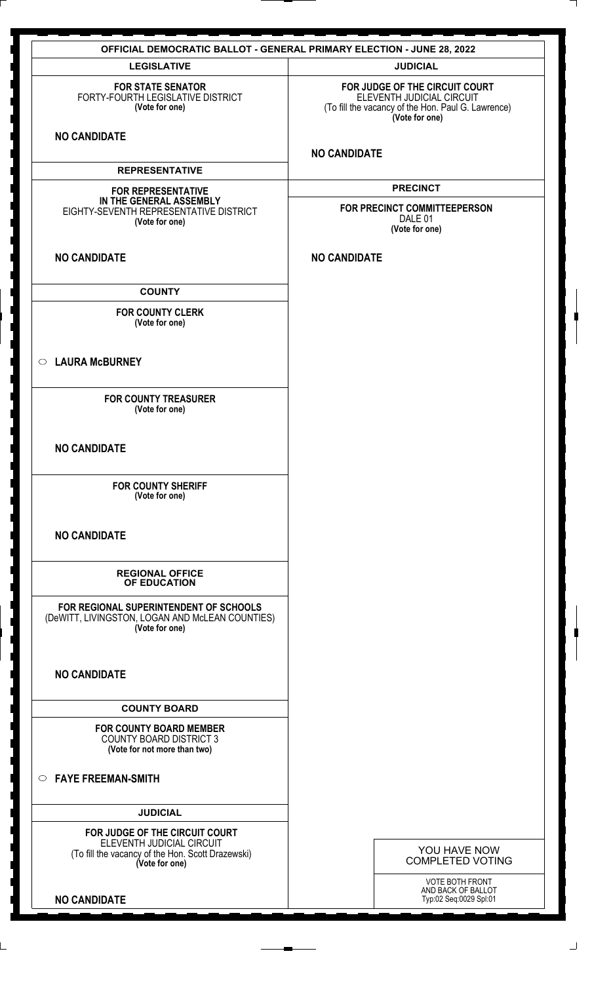| <b>OFFICIAL DEMOCRATIC BALLOT - GENERAL PRIMARY ELECTION - JUNE 28, 2022</b>                                                       |                                                                                                                                     |
|------------------------------------------------------------------------------------------------------------------------------------|-------------------------------------------------------------------------------------------------------------------------------------|
| <b>LEGISLATIVE</b>                                                                                                                 | <b>JUDICIAL</b>                                                                                                                     |
| <b>FOR STATE SENATOR</b><br>FORTY-FOURTH LEGISLATIVE DISTRICT<br>(Vote for one)                                                    | FOR JUDGE OF THE CIRCUIT COURT<br>ELEVENTH JUDICIAL CIRCUIT<br>(To fill the vacancy of the Hon. Paul G. Lawrence)<br>(Vote for one) |
| <b>NO CANDIDATE</b>                                                                                                                | <b>NO CANDIDATE</b>                                                                                                                 |
| <b>REPRESENTATIVE</b>                                                                                                              |                                                                                                                                     |
| <b>FOR REPRESENTATIVE</b><br>IN THE GENERAL ASSEMBLY<br>EIGHTY-SEVENTH REPRESENTATIVE DISTRICT<br>(Vote for one)                   | <b>PRECINCT</b><br>FOR PRECINCT COMMITTEEPERSON<br>DALE 01<br>(Vote for one)                                                        |
| <b>NO CANDIDATE</b>                                                                                                                | <b>NO CANDIDATE</b>                                                                                                                 |
| <b>COUNTY</b>                                                                                                                      |                                                                                                                                     |
| <b>FOR COUNTY CLERK</b><br>(Vote for one)                                                                                          |                                                                                                                                     |
| <b>LAURA McBURNEY</b><br>$\circ$                                                                                                   |                                                                                                                                     |
| <b>FOR COUNTY TREASURER</b><br>(Vote for one)                                                                                      |                                                                                                                                     |
| <b>NO CANDIDATE</b>                                                                                                                |                                                                                                                                     |
| <b>FOR COUNTY SHERIFF</b><br>(Vote for one)                                                                                        |                                                                                                                                     |
| <b>NO CANDIDATE</b>                                                                                                                |                                                                                                                                     |
| <b>REGIONAL OFFICE</b><br>OF EDUCATION                                                                                             |                                                                                                                                     |
| FOR REGIONAL SUPERINTENDENT OF SCHOOLS<br>(DeWITT, LIVINGSTON, LOGAN AND McLEAN COUNTIES)<br>(Vote for one)                        |                                                                                                                                     |
| <b>NO CANDIDATE</b>                                                                                                                |                                                                                                                                     |
| <b>COUNTY BOARD</b>                                                                                                                |                                                                                                                                     |
| <b>FOR COUNTY BOARD MEMBER</b><br><b>COUNTY BOARD DISTRICT 3</b><br>(Vote for not more than two)                                   |                                                                                                                                     |
| <b>FAYE FREEMAN-SMITH</b><br>$\circ$                                                                                               |                                                                                                                                     |
| <b>JUDICIAL</b>                                                                                                                    |                                                                                                                                     |
| FOR JUDGE OF THE CIRCUIT COURT<br>ELEVENTH JUDICIAL CIRCUIT<br>(To fill the vacancy of the Hon. Scott Drazewski)<br>(Vote for one) | YOU HAVE NOW<br><b>COMPLETED VOTING</b>                                                                                             |
| <b>NO CANDIDATE</b>                                                                                                                | VOTE BOTH FRONT<br>AND BACK OF BALLOT<br>Typ:02 Seq:0029 Spl:01                                                                     |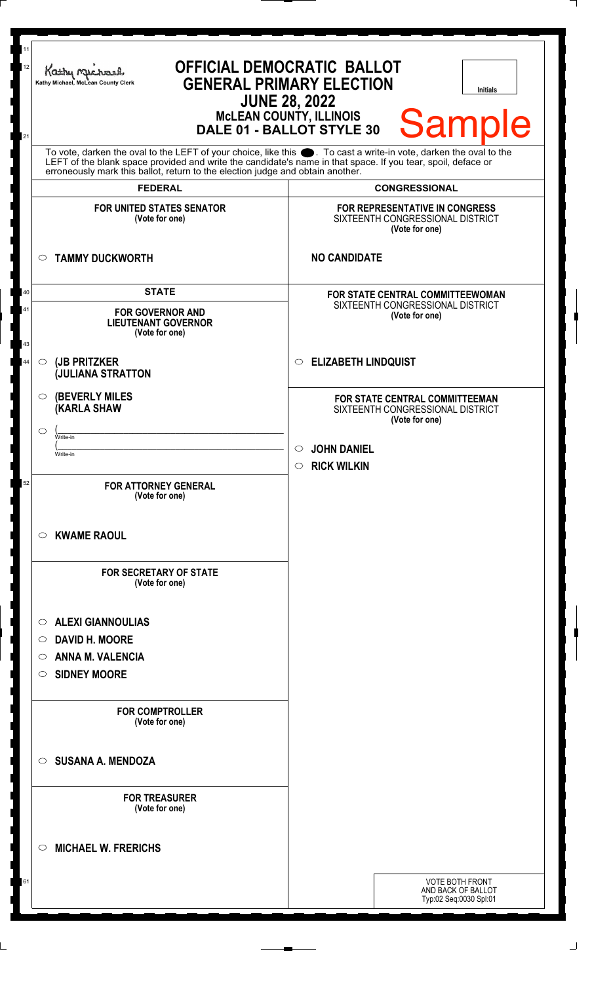| To vote, darken the oval to the LEFT of your choice, like this<br>LEFT of the blank space provided and write the candidate's name in that space. If you tear, spoil, deface or<br>erroneously mark this ballot, return to the election judge and obtain another.<br><b>FEDERAL</b><br><b>CONGRESSIONAL</b><br><b>FOR UNITED STATES SENATOR</b><br>FOR REPRESENTATIVE IN CONGRESS<br>(Vote for one)<br>SIXTEENTH CONGRESSIONAL DISTRICT<br>(Vote for one)<br><b>TAMMY DUCKWORTH</b><br><b>NO CANDIDATE</b><br>$\circ$<br><b>STATE</b><br>40<br>FOR STATE CENTRAL COMMITTEEWOMAN<br>SIXTEENTH CONGRESSIONAL DISTRICT<br>41<br><b>FOR GOVERNOR AND</b><br>(Vote for one)<br><b>LIEUTENANT GOVERNOR</b><br>(Vote for one)<br>43<br><b>ELIZABETH LINDQUIST</b><br>(JB PRITZKER<br>44<br>$\circ$<br>$\circ$<br><b>JULIANA STRATTON</b><br><b>(BEVERLY MILES)</b><br>$\circ$<br>FOR STATE CENTRAL COMMITTEEMAN<br><b>(KARLA SHAW</b><br>SIXTEENTH CONGRESSIONAL DISTRICT<br>(Vote for one)<br>◯<br>Write-in<br><b>JOHN DANIEL</b><br>$\circ$<br>Write-in<br>$\circ$ RICK WILKIN<br>52<br><b>FOR ATTORNEY GENERAL</b><br>(Vote for one)<br><b>KWAME RAOUL</b><br>O<br><b>FOR SECRETARY OF STATE</b><br>(Vote for one)<br><b>ALEXI GIANNOULIAS</b><br>O<br><b>DAVID H. MOORE</b><br>O<br><b>ANNA M. VALENCIA</b><br>O<br><b>SIDNEY MOORE</b><br>O<br><b>FOR COMPTROLLER</b><br>(Vote for one)<br><b>SUSANA A. MENDOZA</b><br>$\circ$<br><b>FOR TREASURER</b><br>(Vote for one)<br><b>MICHAEL W. FRERICHS</b><br>◯<br>61<br><b>VOTE BOTH FRONT</b><br>AND BACK OF BALLOT<br>Typ:02 Seq:0030 Spl:01 | <b>OFFICIAL DEMOCRATIC BALLOT</b><br>Kathy Muc<br><b>GENERAL PRIMARY ELECTION</b><br>Kathy Michael, McLean County Clerk<br><b>Initials</b><br><b>JUNE 28, 2022</b><br>McLEAN COUNTY, ILLINOIS<br>DALE 01 - BALLOT STYLE 30<br><b>Sample</b> |  |
|------------------------------------------------------------------------------------------------------------------------------------------------------------------------------------------------------------------------------------------------------------------------------------------------------------------------------------------------------------------------------------------------------------------------------------------------------------------------------------------------------------------------------------------------------------------------------------------------------------------------------------------------------------------------------------------------------------------------------------------------------------------------------------------------------------------------------------------------------------------------------------------------------------------------------------------------------------------------------------------------------------------------------------------------------------------------------------------------------------------------------------------------------------------------------------------------------------------------------------------------------------------------------------------------------------------------------------------------------------------------------------------------------------------------------------------------------------------------------------------------------------------------------------------------------------------------------------------|---------------------------------------------------------------------------------------------------------------------------------------------------------------------------------------------------------------------------------------------|--|
|                                                                                                                                                                                                                                                                                                                                                                                                                                                                                                                                                                                                                                                                                                                                                                                                                                                                                                                                                                                                                                                                                                                                                                                                                                                                                                                                                                                                                                                                                                                                                                                          |                                                                                                                                                                                                                                             |  |
|                                                                                                                                                                                                                                                                                                                                                                                                                                                                                                                                                                                                                                                                                                                                                                                                                                                                                                                                                                                                                                                                                                                                                                                                                                                                                                                                                                                                                                                                                                                                                                                          |                                                                                                                                                                                                                                             |  |
|                                                                                                                                                                                                                                                                                                                                                                                                                                                                                                                                                                                                                                                                                                                                                                                                                                                                                                                                                                                                                                                                                                                                                                                                                                                                                                                                                                                                                                                                                                                                                                                          |                                                                                                                                                                                                                                             |  |
|                                                                                                                                                                                                                                                                                                                                                                                                                                                                                                                                                                                                                                                                                                                                                                                                                                                                                                                                                                                                                                                                                                                                                                                                                                                                                                                                                                                                                                                                                                                                                                                          |                                                                                                                                                                                                                                             |  |
|                                                                                                                                                                                                                                                                                                                                                                                                                                                                                                                                                                                                                                                                                                                                                                                                                                                                                                                                                                                                                                                                                                                                                                                                                                                                                                                                                                                                                                                                                                                                                                                          |                                                                                                                                                                                                                                             |  |
|                                                                                                                                                                                                                                                                                                                                                                                                                                                                                                                                                                                                                                                                                                                                                                                                                                                                                                                                                                                                                                                                                                                                                                                                                                                                                                                                                                                                                                                                                                                                                                                          |                                                                                                                                                                                                                                             |  |
|                                                                                                                                                                                                                                                                                                                                                                                                                                                                                                                                                                                                                                                                                                                                                                                                                                                                                                                                                                                                                                                                                                                                                                                                                                                                                                                                                                                                                                                                                                                                                                                          |                                                                                                                                                                                                                                             |  |
|                                                                                                                                                                                                                                                                                                                                                                                                                                                                                                                                                                                                                                                                                                                                                                                                                                                                                                                                                                                                                                                                                                                                                                                                                                                                                                                                                                                                                                                                                                                                                                                          |                                                                                                                                                                                                                                             |  |
|                                                                                                                                                                                                                                                                                                                                                                                                                                                                                                                                                                                                                                                                                                                                                                                                                                                                                                                                                                                                                                                                                                                                                                                                                                                                                                                                                                                                                                                                                                                                                                                          |                                                                                                                                                                                                                                             |  |
|                                                                                                                                                                                                                                                                                                                                                                                                                                                                                                                                                                                                                                                                                                                                                                                                                                                                                                                                                                                                                                                                                                                                                                                                                                                                                                                                                                                                                                                                                                                                                                                          |                                                                                                                                                                                                                                             |  |
|                                                                                                                                                                                                                                                                                                                                                                                                                                                                                                                                                                                                                                                                                                                                                                                                                                                                                                                                                                                                                                                                                                                                                                                                                                                                                                                                                                                                                                                                                                                                                                                          |                                                                                                                                                                                                                                             |  |
|                                                                                                                                                                                                                                                                                                                                                                                                                                                                                                                                                                                                                                                                                                                                                                                                                                                                                                                                                                                                                                                                                                                                                                                                                                                                                                                                                                                                                                                                                                                                                                                          |                                                                                                                                                                                                                                             |  |
|                                                                                                                                                                                                                                                                                                                                                                                                                                                                                                                                                                                                                                                                                                                                                                                                                                                                                                                                                                                                                                                                                                                                                                                                                                                                                                                                                                                                                                                                                                                                                                                          |                                                                                                                                                                                                                                             |  |
|                                                                                                                                                                                                                                                                                                                                                                                                                                                                                                                                                                                                                                                                                                                                                                                                                                                                                                                                                                                                                                                                                                                                                                                                                                                                                                                                                                                                                                                                                                                                                                                          |                                                                                                                                                                                                                                             |  |

 $\perp$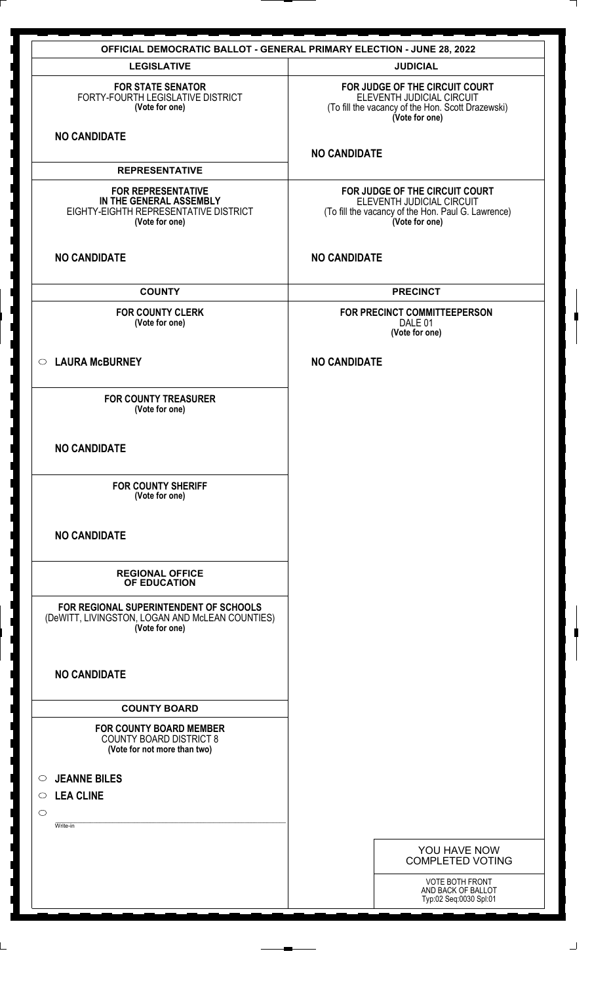|                                                                                                                 | <b>OFFICIAL DEMOCRATIC BALLOT - GENERAL PRIMARY ELECTION - JUNE 28, 2022</b>                                                        |
|-----------------------------------------------------------------------------------------------------------------|-------------------------------------------------------------------------------------------------------------------------------------|
| <b>LEGISLATIVE</b>                                                                                              | <b>JUDICIAL</b>                                                                                                                     |
| <b>FOR STATE SENATOR</b><br>FORTY-FOURTH LEGISLATIVE DISTRICT<br>(Vote for one)                                 | FOR JUDGE OF THE CIRCUIT COURT<br>ELEVENTH JUDICIAL CIRCUIT<br>(To fill the vacancy of the Hon. Scott Drazewski)<br>(Vote for one)  |
| <b>NO CANDIDATE</b>                                                                                             | <b>NO CANDIDATE</b>                                                                                                                 |
| <b>REPRESENTATIVE</b>                                                                                           |                                                                                                                                     |
| <b>FOR REPRESENTATIVE</b><br>IN THE GENERAL ASSEMBLY<br>EIGHTY-EIGHTH REPRESENTATIVE DISTRICT<br>(Vote for one) | FOR JUDGE OF THE CIRCUIT COURT<br>ELEVENTH JUDICIAL CIRCUIT<br>(To fill the vacancy of the Hon. Paul G. Lawrence)<br>(Vote for one) |
| <b>NO CANDIDATE</b>                                                                                             | <b>NO CANDIDATE</b>                                                                                                                 |
| <b>COUNTY</b>                                                                                                   | <b>PRECINCT</b>                                                                                                                     |
| <b>FOR COUNTY CLERK</b><br>(Vote for one)                                                                       | FOR PRECINCT COMMITTEEPERSON<br>DALE 01<br>(Vote for one)                                                                           |
| C LAURA McBURNEY                                                                                                | <b>NO CANDIDATE</b>                                                                                                                 |
| <b>FOR COUNTY TREASURER</b><br>(Vote for one)                                                                   |                                                                                                                                     |
| <b>NO CANDIDATE</b>                                                                                             |                                                                                                                                     |
| <b>FOR COUNTY SHERIFF</b><br>(Vote for one)                                                                     |                                                                                                                                     |
| <b>NO CANDIDATE</b>                                                                                             |                                                                                                                                     |
| <b>REGIONAL OFFICE</b><br>OF EDUCATION                                                                          |                                                                                                                                     |
| FOR REGIONAL SUPERINTENDENT OF SCHOOLS<br>(DeWITT, LIVINGSTON, LOGAN AND McLEAN COUNTIES)<br>(Vote for one)     |                                                                                                                                     |
| <b>NO CANDIDATE</b>                                                                                             |                                                                                                                                     |
| <b>COUNTY BOARD</b>                                                                                             |                                                                                                                                     |
| <b>FOR COUNTY BOARD MEMBER</b><br><b>COUNTY BOARD DISTRICT 8</b><br>(Vote for not more than two)                |                                                                                                                                     |
| <b>JEANNE BILES</b><br>$\circ$                                                                                  |                                                                                                                                     |
| <b>LEA CLINE</b><br>$\circ$                                                                                     |                                                                                                                                     |
| $\circ$                                                                                                         |                                                                                                                                     |
| Write-in                                                                                                        |                                                                                                                                     |
|                                                                                                                 | YOU HAVE NOW<br><b>COMPLETED VOTING</b>                                                                                             |
|                                                                                                                 | VOTE BOTH FRONT<br>AND BACK OF BALLOT<br>Typ:02 Seq:0030 Spl:01                                                                     |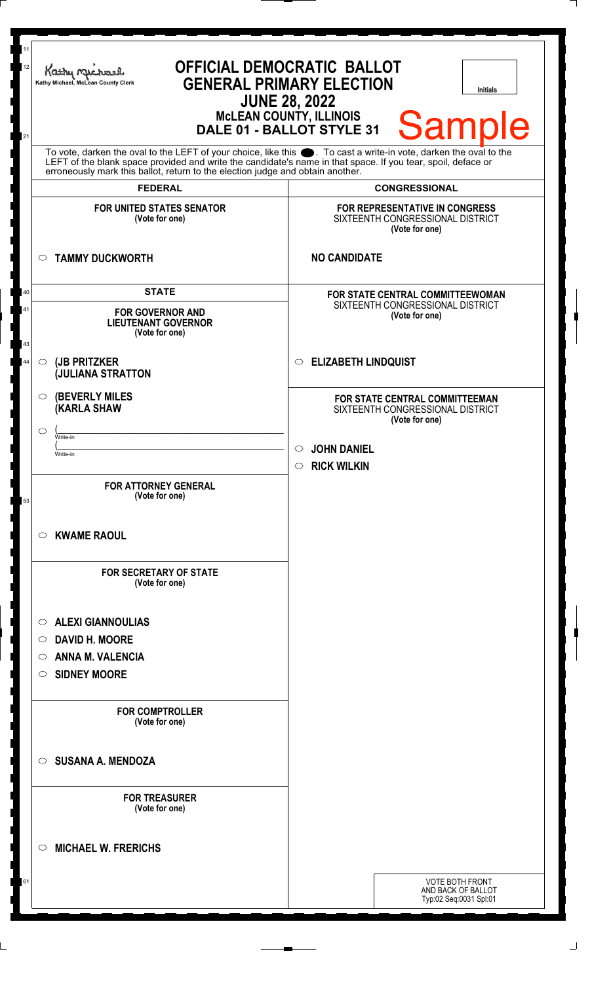| 11<br>12<br>21 | <b>OFFICIAL DEMOCRATIC BALLOT</b><br>Kathy Muc<br><b>GENERAL PRIMARY ELECTION</b><br>Kathy Michael, McLean County Clerk<br><b>Initials</b><br><b>JUNE 28, 2022</b><br><b>MCLEAN COUNTY, ILLINOIS</b><br><b>Sample</b><br>DALE 01 - BALLOT STYLE 31                                                                     |                                                                                      |
|----------------|------------------------------------------------------------------------------------------------------------------------------------------------------------------------------------------------------------------------------------------------------------------------------------------------------------------------|--------------------------------------------------------------------------------------|
|                | To vote, darken the oval to the LEFT of your choice, like this $\bullet$ . To cast a write-in vote, darken the oval to the LEFT of the blank space provided and write the candidate's name in that space. If you tear, spoil, deface<br>erroneously mark this ballot, return to the election judge and obtain another. |                                                                                      |
|                | <b>FEDERAL</b>                                                                                                                                                                                                                                                                                                         | <b>CONGRESSIONAL</b>                                                                 |
|                | <b>FOR UNITED STATES SENATOR</b><br>(Vote for one)                                                                                                                                                                                                                                                                     | FOR REPRESENTATIVE IN CONGRESS<br>SIXTEENTH CONGRESSIONAL DISTRICT<br>(Vote for one) |
|                | <b>TAMMY DUCKWORTH</b><br>$\circ$                                                                                                                                                                                                                                                                                      | <b>NO CANDIDATE</b>                                                                  |
| 40             | <b>STATE</b>                                                                                                                                                                                                                                                                                                           | <b>FOR STATE CENTRAL COMMITTEEWOMAN</b>                                              |
| 41<br>43       | <b>FOR GOVERNOR AND</b><br><b>LIEUTENANT GOVERNOR</b><br>(Vote for one)                                                                                                                                                                                                                                                | SIXTEENTH CONGRESSIONAL DISTRICT<br>(Vote for one)                                   |
| 44             | (JB PRITZKER<br>$\circ$<br><b>JULIANA STRATTON</b>                                                                                                                                                                                                                                                                     | <b>ELIZABETH LINDQUIST</b><br>$\circ$                                                |
|                | <b>(BEVERLY MILES)</b><br>O<br>(KARLA SHAW<br>◯<br>Write-in                                                                                                                                                                                                                                                            | FOR STATE CENTRAL COMMITTEEMAN<br>SIXTEENTH CONGRESSIONAL DISTRICT<br>(Vote for one) |
|                | Write-in                                                                                                                                                                                                                                                                                                               | <b>JOHN DANIEL</b><br>$\circ$                                                        |
|                |                                                                                                                                                                                                                                                                                                                        | $\circ$ RICK WILKIN                                                                  |
| 53             | <b>FOR ATTORNEY GENERAL</b><br>(Vote for one)                                                                                                                                                                                                                                                                          |                                                                                      |
|                | <b>KWAME RAOUL</b><br>O                                                                                                                                                                                                                                                                                                |                                                                                      |
|                | <b>FOR SECRETARY OF STATE</b><br>(Vote for one)                                                                                                                                                                                                                                                                        |                                                                                      |
|                | <b>ALEXI GIANNOULIAS</b><br>O                                                                                                                                                                                                                                                                                          |                                                                                      |
|                | <b>DAVID H. MOORE</b><br>$\circ$                                                                                                                                                                                                                                                                                       |                                                                                      |
|                | <b>ANNA M. VALENCIA</b><br>◯                                                                                                                                                                                                                                                                                           |                                                                                      |
|                | <b>SIDNEY MOORE</b><br>O                                                                                                                                                                                                                                                                                               |                                                                                      |
|                |                                                                                                                                                                                                                                                                                                                        |                                                                                      |
|                | <b>FOR COMPTROLLER</b><br>(Vote for one)                                                                                                                                                                                                                                                                               |                                                                                      |
|                | <b>SUSANA A. MENDOZA</b><br>◯                                                                                                                                                                                                                                                                                          |                                                                                      |
|                | <b>FOR TREASURER</b><br>(Vote for one)                                                                                                                                                                                                                                                                                 |                                                                                      |
|                | <b>MICHAEL W. FRERICHS</b><br>◯                                                                                                                                                                                                                                                                                        |                                                                                      |
| 61             |                                                                                                                                                                                                                                                                                                                        | <b>VOTE BOTH FRONT</b>                                                               |
|                |                                                                                                                                                                                                                                                                                                                        | AND BACK OF BALLOT<br>Typ:02 Seq:0031 Spl:01                                         |
|                |                                                                                                                                                                                                                                                                                                                        |                                                                                      |

 $\perp$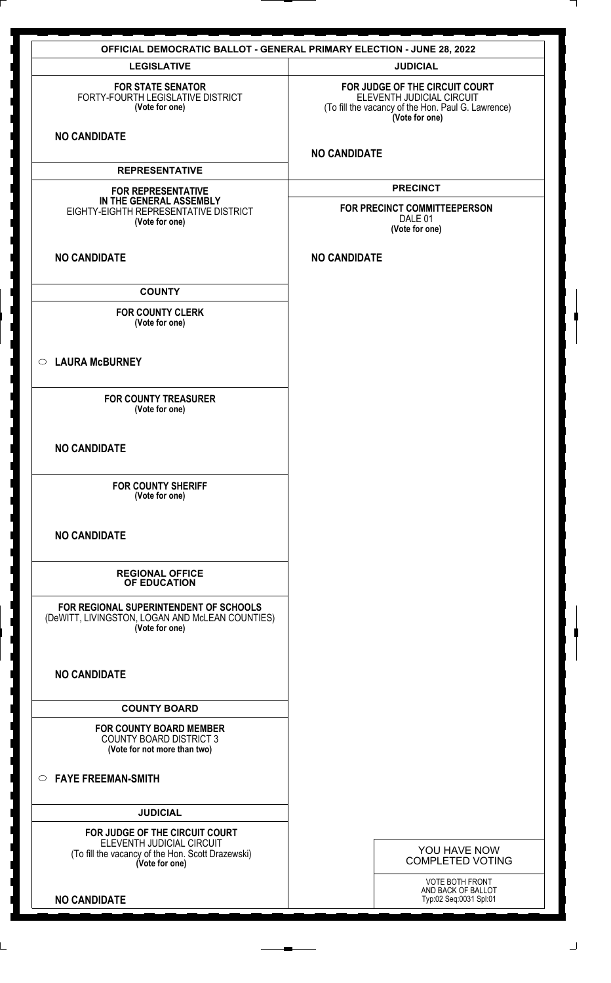| <b>OFFICIAL DEMOCRATIC BALLOT - GENERAL PRIMARY ELECTION - JUNE 28, 2022</b>                                                       |                                                                                                                                     |
|------------------------------------------------------------------------------------------------------------------------------------|-------------------------------------------------------------------------------------------------------------------------------------|
| <b>LEGISLATIVE</b>                                                                                                                 | <b>JUDICIAL</b>                                                                                                                     |
| <b>FOR STATE SENATOR</b><br>FORTY-FOURTH LEGISLATIVE DISTRICT<br>(Vote for one)                                                    | FOR JUDGE OF THE CIRCUIT COURT<br>ELEVENTH JUDICIAL CIRCUIT<br>(To fill the vacancy of the Hon. Paul G. Lawrence)<br>(Vote for one) |
| <b>NO CANDIDATE</b>                                                                                                                | <b>NO CANDIDATE</b>                                                                                                                 |
| <b>REPRESENTATIVE</b>                                                                                                              |                                                                                                                                     |
| <b>FOR REPRESENTATIVE</b><br>IN THE GENERAL ASSEMBLY<br>EIGHTY-EIGHTH REPRESENTATIVE DISTRICT<br>(Vote for one)                    | <b>PRECINCT</b><br>FOR PRECINCT COMMITTEEPERSON<br>DALE 01<br>(Vote for one)                                                        |
| <b>NO CANDIDATE</b>                                                                                                                | <b>NO CANDIDATE</b>                                                                                                                 |
| <b>COUNTY</b>                                                                                                                      |                                                                                                                                     |
| <b>FOR COUNTY CLERK</b><br>(Vote for one)                                                                                          |                                                                                                                                     |
| <b>LAURA McBURNEY</b><br>$\circ$                                                                                                   |                                                                                                                                     |
| <b>FOR COUNTY TREASURER</b><br>(Vote for one)                                                                                      |                                                                                                                                     |
| <b>NO CANDIDATE</b>                                                                                                                |                                                                                                                                     |
| <b>FOR COUNTY SHERIFF</b><br>(Vote for one)                                                                                        |                                                                                                                                     |
| <b>NO CANDIDATE</b>                                                                                                                |                                                                                                                                     |
| <b>REGIONAL OFFICE</b><br>OF EDUCATION                                                                                             |                                                                                                                                     |
| FOR REGIONAL SUPERINTENDENT OF SCHOOLS<br>(DeWITT, LIVINGSTON, LOGAN AND McLEAN COUNTIES)<br>(Vote for one)                        |                                                                                                                                     |
| <b>NO CANDIDATE</b>                                                                                                                |                                                                                                                                     |
| <b>COUNTY BOARD</b>                                                                                                                |                                                                                                                                     |
| <b>FOR COUNTY BOARD MEMBER</b><br><b>COUNTY BOARD DISTRICT 3</b><br>(Vote for not more than two)                                   |                                                                                                                                     |
| <b>FAYE FREEMAN-SMITH</b><br>$\circ$                                                                                               |                                                                                                                                     |
| <b>JUDICIAL</b>                                                                                                                    |                                                                                                                                     |
| FOR JUDGE OF THE CIRCUIT COURT<br>ELEVENTH JUDICIAL CIRCUIT<br>(To fill the vacancy of the Hon. Scott Drazewski)<br>(Vote for one) | YOU HAVE NOW<br><b>COMPLETED VOTING</b>                                                                                             |
| <b>NO CANDIDATE</b>                                                                                                                | VOTE BOTH FRONT<br>AND BACK OF BALLOT<br>Typ:02 Seq:0031 Spl:01                                                                     |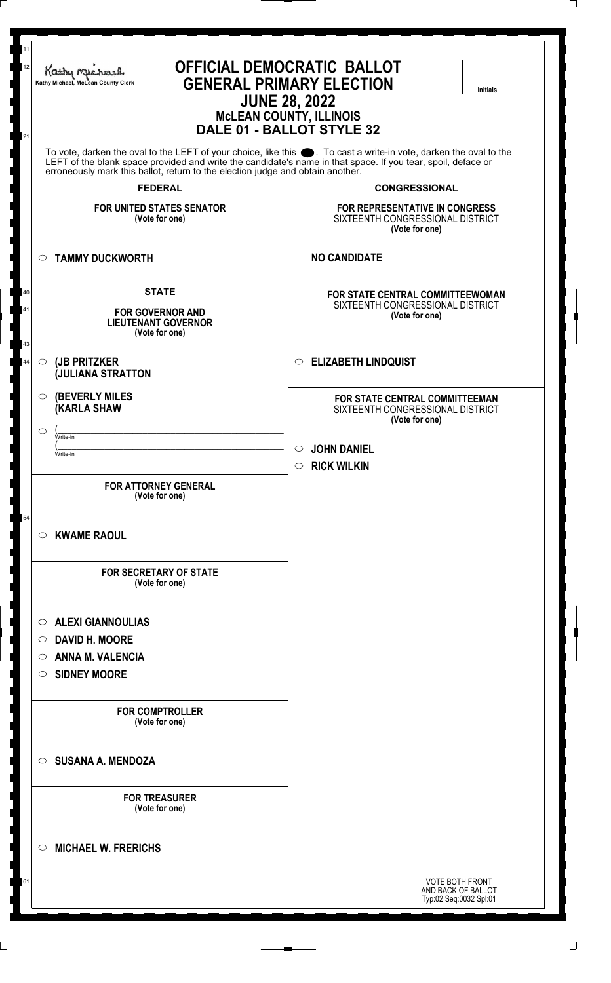11 **OFFICIAL DEMOCRATIC BALLOT** 12 **Kathy Michael, McLean County Clerk GENERAL PRIMARY ELECTION Initials JUNE 28, 2022 McLEAN COUNTY, ILLINOIS DALE 01 - BALLOT STYLE 32** 21 To vote, darken the oval to the LEFT of your choice, like this  $\bullet$ . To cast a write-in vote, darken the oval to the LEFT of the blank space provided and write the candidate's name in that space. If you tear, spoil, deface or erroneously mark this ballot, return to the election judge and obtain another. **FEDERAL CONGRESSIONAL FOR UNITED STATES SENATOR FOR REPRESENTATIVE IN CONGRESS (Vote for one)** SIXTEENTH CONGRESSIONAL DISTRICT **(Vote for one) TAMMY DUCKWORTH NO CANDIDATE STATE FOR STATE CENTRAL COMMITTEEWOMAN** 40 SIXTEENTH CONGRESSIONAL DISTRICT **FOR GOVERNOR AND** 41 **(Vote for one) LIEUTENANT GOVERNOR (Vote for one)** 43 **ELIZABETH LINDQUIST (JB PRITZKER** 44 **(JULIANA STRATTON**  $\circ$ **(BEVERLY MILES FOR STATE CENTRAL COMMITTEEMAN (KARLA SHAW** SIXTEENTH CONGRESSIONAL DISTRICT **(Vote for one)**  $\overline{\mathcal{L}}$  , and the contract of the contract of the contract of the contract of the contract of the contract of the contract of the contract of the contract of the contract of the contract of the contract of the contrac  $\circ$ Write-in  $(\_\_\_\_\_\_$ **JOHN DANIEL** Write-in **RICK WILKIN FOR ATTORNEY GENERAL (Vote for one)** 54**KWAME RAOUL FOR SECRETARY OF STATE (Vote for one) ALEXI GIANNOULIAS DAVID H. MOORE ANNA M. VALENCIA SIDNEY MOORE FOR COMPTROLLER (Vote for one) SUSANA A. MENDOZA FOR TREASURER (Vote for one) MICHAEL W. FRERICHS** VOTE BOTH FRONT 61 AND BACK OF BALLOT Typ:02 Seq:0032 Spl:01

丄